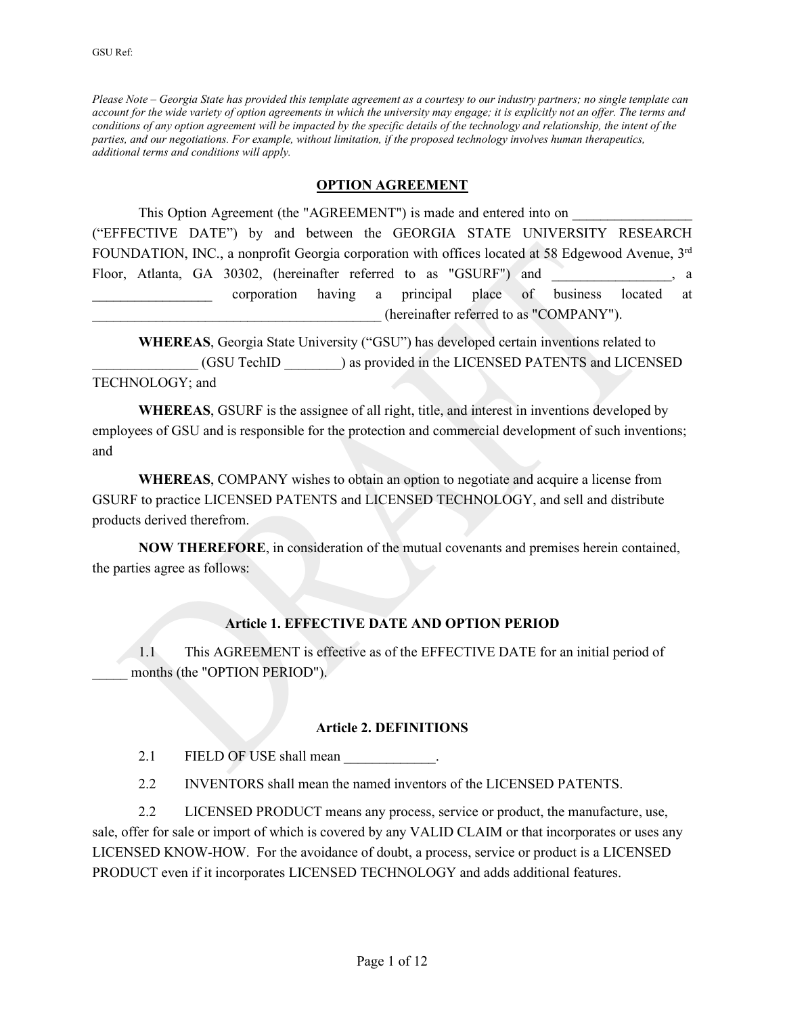*Please Note – Georgia State has provided this template agreement as a courtesy to our industry partners; no single template can account for the wide variety of option agreements in which the university may engage; it is explicitly not an offer. The terms and conditions of any option agreement will be impacted by the specific details of the technology and relationship, the intent of the parties, and our negotiations. For example, without limitation, if the proposed technology involves human therapeutics, additional terms and conditions will apply.* 

#### **OPTION AGREEMENT**

This Option Agreement (the "AGREEMENT") is made and entered into on ("EFFECTIVE DATE") by and between the GEORGIA STATE UNIVERSITY RESEARCH FOUNDATION, INC., a nonprofit Georgia corporation with offices located at 58 Edgewood Avenue, 3rd Floor, Atlanta, GA 30302, (hereinafter referred to as "GSURF") and , a corporation having a principal place of business located at \_\_\_\_\_\_\_\_\_\_\_\_\_\_\_\_\_\_\_\_\_\_\_\_\_\_\_\_\_\_\_\_\_\_\_\_\_\_\_\_\_ (hereinafter referred to as "COMPANY").

**WHEREAS**, Georgia State University ("GSU") has developed certain inventions related to \_\_\_\_\_\_\_\_\_\_\_\_\_\_\_ (GSU TechID \_\_\_\_\_\_\_\_) as provided in the LICENSED PATENTS and LICENSED TECHNOLOGY; and

**WHEREAS**, GSURF is the assignee of all right, title, and interest in inventions developed by employees of GSU and is responsible for the protection and commercial development of such inventions; and

**WHEREAS**, COMPANY wishes to obtain an option to negotiate and acquire a license from GSURF to practice LICENSED PATENTS and LICENSED TECHNOLOGY, and sell and distribute products derived therefrom.

**NOW THEREFORE**, in consideration of the mutual covenants and premises herein contained, the parties agree as follows:

#### **Article 1. EFFECTIVE DATE AND OPTION PERIOD**

1.1 This AGREEMENT is effective as of the EFFECTIVE DATE for an initial period of months (the "OPTION PERIOD").

#### **Article 2. DEFINITIONS**

2.1 FIELD OF USE shall mean

2.2 INVENTORS shall mean the named inventors of the LICENSED PATENTS.

2.2 LICENSED PRODUCT means any process, service or product, the manufacture, use, sale, offer for sale or import of which is covered by any VALID CLAIM or that incorporates or uses any LICENSED KNOW-HOW. For the avoidance of doubt, a process, service or product is a LICENSED PRODUCT even if it incorporates LICENSED TECHNOLOGY and adds additional features.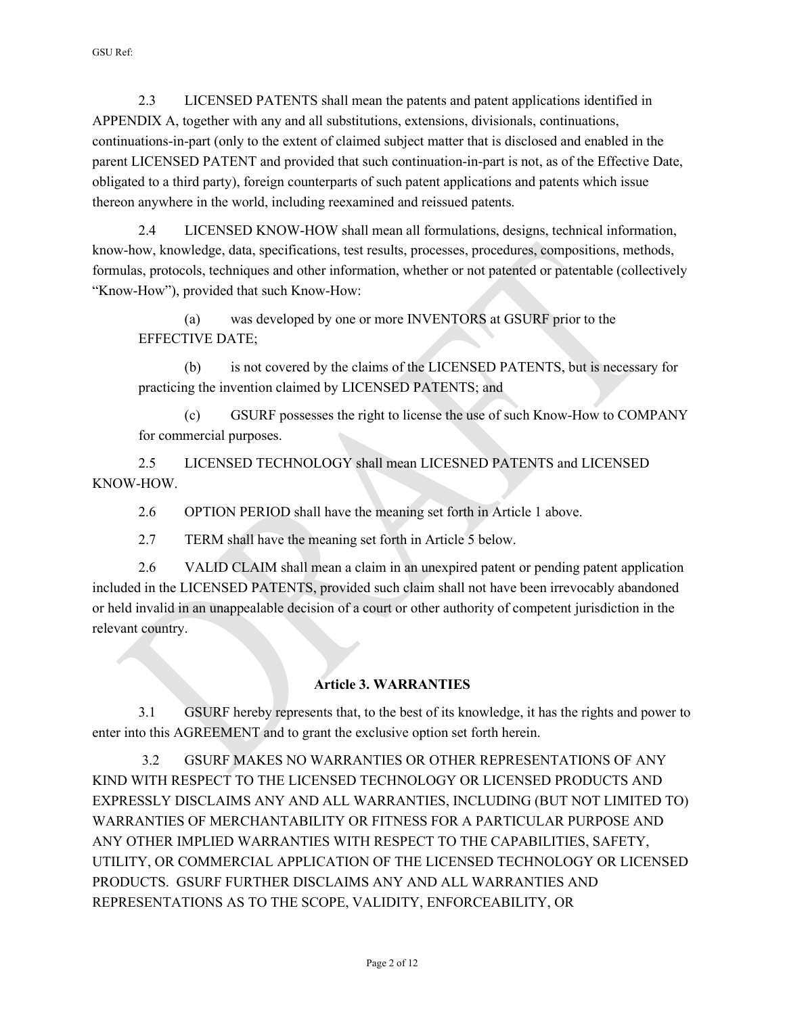2.3 LICENSED PATENTS shall mean the patents and patent applications identified in APPENDIX A, together with any and all substitutions, extensions, divisionals, continuations, continuations-in-part (only to the extent of claimed subject matter that is disclosed and enabled in the parent LICENSED PATENT and provided that such continuation-in-part is not, as of the Effective Date, obligated to a third party), foreign counterparts of such patent applications and patents which issue thereon anywhere in the world, including reexamined and reissued patents.

2.4 LICENSED KNOW-HOW shall mean all formulations, designs, technical information, know-how, knowledge, data, specifications, test results, processes, procedures, compositions, methods, formulas, protocols, techniques and other information, whether or not patented or patentable (collectively "Know-How"), provided that such Know-How:

(a) was developed by one or more INVENTORS at GSURF prior to the EFFECTIVE DATE;

(b) is not covered by the claims of the LICENSED PATENTS, but is necessary for practicing the invention claimed by LICENSED PATENTS; and

(c) GSURF possesses the right to license the use of such Know-How to COMPANY for commercial purposes.

2.5 LICENSED TECHNOLOGY shall mean LICESNED PATENTS and LICENSED KNOW-HOW.

2.6 OPTION PERIOD shall have the meaning set forth in Article 1 above.

2.7 TERM shall have the meaning set forth in Article 5 below.

2.6 VALID CLAIM shall mean a claim in an unexpired patent or pending patent application included in the LICENSED PATENTS, provided such claim shall not have been irrevocably abandoned or held invalid in an unappealable decision of a court or other authority of competent jurisdiction in the relevant country.

## **Article 3. WARRANTIES**

3.1 GSURF hereby represents that, to the best of its knowledge, it has the rights and power to enter into this AGREEMENT and to grant the exclusive option set forth herein.

3.2 GSURF MAKES NO WARRANTIES OR OTHER REPRESENTATIONS OF ANY KIND WITH RESPECT TO THE LICENSED TECHNOLOGY OR LICENSED PRODUCTS AND EXPRESSLY DISCLAIMS ANY AND ALL WARRANTIES, INCLUDING (BUT NOT LIMITED TO) WARRANTIES OF MERCHANTABILITY OR FITNESS FOR A PARTICULAR PURPOSE AND ANY OTHER IMPLIED WARRANTIES WITH RESPECT TO THE CAPABILITIES, SAFETY, UTILITY, OR COMMERCIAL APPLICATION OF THE LICENSED TECHNOLOGY OR LICENSED PRODUCTS. GSURF FURTHER DISCLAIMS ANY AND ALL WARRANTIES AND REPRESENTATIONS AS TO THE SCOPE, VALIDITY, ENFORCEABILITY, OR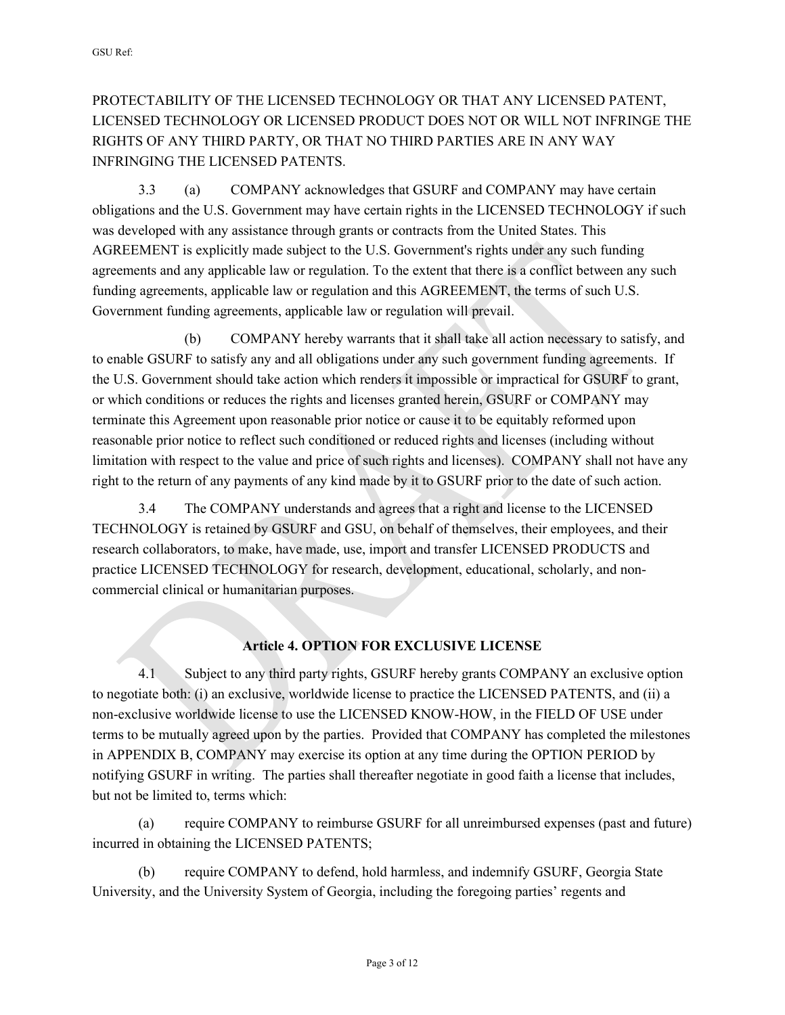# PROTECTABILITY OF THE LICENSED TECHNOLOGY OR THAT ANY LICENSED PATENT, LICENSED TECHNOLOGY OR LICENSED PRODUCT DOES NOT OR WILL NOT INFRINGE THE RIGHTS OF ANY THIRD PARTY, OR THAT NO THIRD PARTIES ARE IN ANY WAY INFRINGING THE LICENSED PATENTS.

3.3 (a) COMPANY acknowledges that GSURF and COMPANY may have certain obligations and the U.S. Government may have certain rights in the LICENSED TECHNOLOGY if such was developed with any assistance through grants or contracts from the United States. This AGREEMENT is explicitly made subject to the U.S. Government's rights under any such funding agreements and any applicable law or regulation. To the extent that there is a conflict between any such funding agreements, applicable law or regulation and this AGREEMENT, the terms of such U.S. Government funding agreements, applicable law or regulation will prevail.

(b) COMPANY hereby warrants that it shall take all action necessary to satisfy, and to enable GSURF to satisfy any and all obligations under any such government funding agreements. If the U.S. Government should take action which renders it impossible or impractical for GSURF to grant, or which conditions or reduces the rights and licenses granted herein, GSURF or COMPANY may terminate this Agreement upon reasonable prior notice or cause it to be equitably reformed upon reasonable prior notice to reflect such conditioned or reduced rights and licenses (including without limitation with respect to the value and price of such rights and licenses). COMPANY shall not have any right to the return of any payments of any kind made by it to GSURF prior to the date of such action.

3.4 The COMPANY understands and agrees that a right and license to the LICENSED TECHNOLOGY is retained by GSURF and GSU, on behalf of themselves, their employees, and their research collaborators, to make, have made, use, import and transfer LICENSED PRODUCTS and practice LICENSED TECHNOLOGY for research, development, educational, scholarly, and noncommercial clinical or humanitarian purposes.

### **Article 4. OPTION FOR EXCLUSIVE LICENSE**

4.1 Subject to any third party rights, GSURF hereby grants COMPANY an exclusive option to negotiate both: (i) an exclusive, worldwide license to practice the LICENSED PATENTS, and (ii) a non-exclusive worldwide license to use the LICENSED KNOW-HOW, in the FIELD OF USE under terms to be mutually agreed upon by the parties. Provided that COMPANY has completed the milestones in APPENDIX B, COMPANY may exercise its option at any time during the OPTION PERIOD by notifying GSURF in writing. The parties shall thereafter negotiate in good faith a license that includes, but not be limited to, terms which:

(a) require COMPANY to reimburse GSURF for all unreimbursed expenses (past and future) incurred in obtaining the LICENSED PATENTS;

(b) require COMPANY to defend, hold harmless, and indemnify GSURF, Georgia State University, and the University System of Georgia, including the foregoing parties' regents and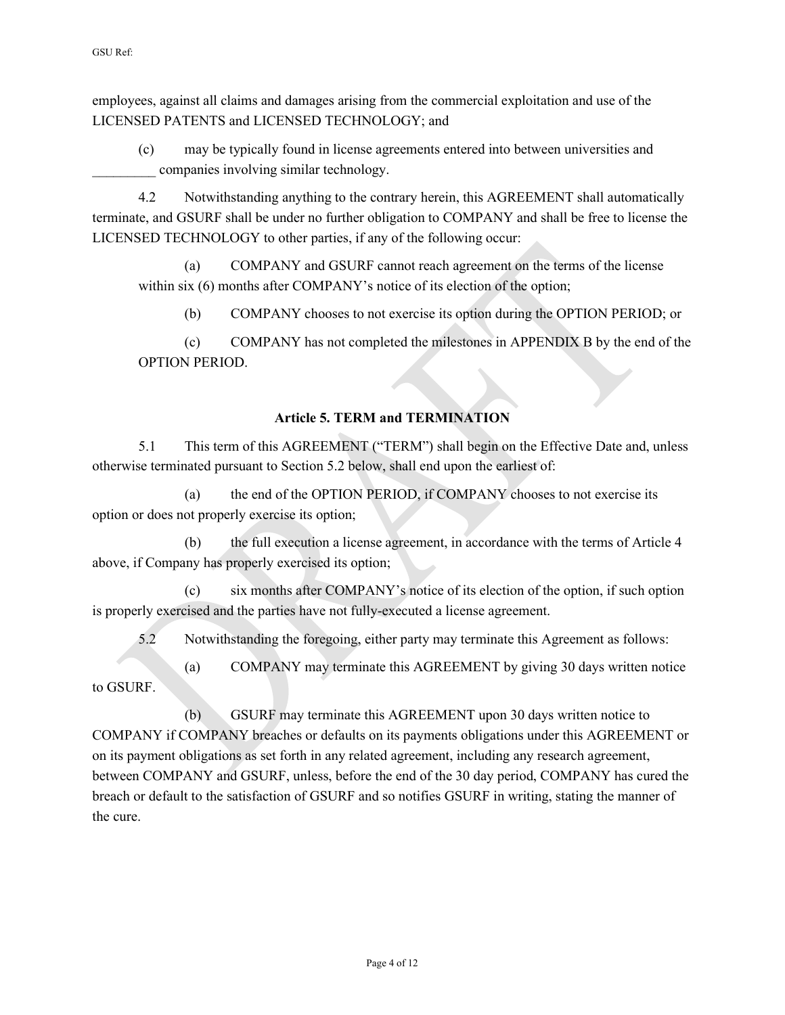employees, against all claims and damages arising from the commercial exploitation and use of the LICENSED PATENTS and LICENSED TECHNOLOGY; and

(c) may be typically found in license agreements entered into between universities and companies involving similar technology.

4.2 Notwithstanding anything to the contrary herein, this AGREEMENT shall automatically terminate, and GSURF shall be under no further obligation to COMPANY and shall be free to license the LICENSED TECHNOLOGY to other parties, if any of the following occur:

(a) COMPANY and GSURF cannot reach agreement on the terms of the license within six (6) months after COMPANY's notice of its election of the option;

(b) COMPANY chooses to not exercise its option during the OPTION PERIOD; or

(c) COMPANY has not completed the milestones in APPENDIX B by the end of the OPTION PERIOD.

### **Article 5. TERM and TERMINATION**

5.1 This term of this AGREEMENT ("TERM") shall begin on the Effective Date and, unless otherwise terminated pursuant to Section 5.2 below, shall end upon the earliest of:

(a) the end of the OPTION PERIOD, if COMPANY chooses to not exercise its option or does not properly exercise its option;

(b) the full execution a license agreement, in accordance with the terms of Article 4 above, if Company has properly exercised its option;

(c) six months after COMPANY's notice of its election of the option, if such option is properly exercised and the parties have not fully-executed a license agreement.

5.2 Notwithstanding the foregoing, either party may terminate this Agreement as follows:

(a) COMPANY may terminate this AGREEMENT by giving 30 days written notice to GSURF.

(b) GSURF may terminate this AGREEMENT upon 30 days written notice to COMPANY if COMPANY breaches or defaults on its payments obligations under this AGREEMENT or on its payment obligations as set forth in any related agreement, including any research agreement, between COMPANY and GSURF, unless, before the end of the 30 day period, COMPANY has cured the breach or default to the satisfaction of GSURF and so notifies GSURF in writing, stating the manner of the cure.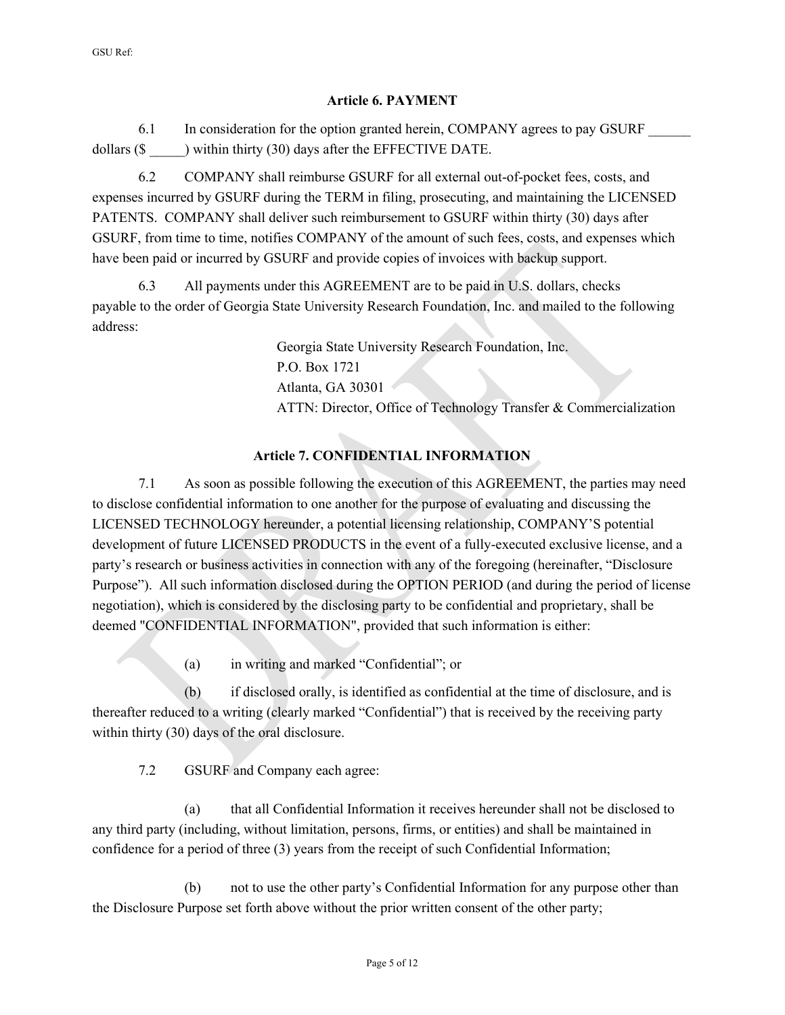#### **Article 6. PAYMENT**

6.1 In consideration for the option granted herein, COMPANY agrees to pay GSURF dollars (\$ ) within thirty (30) days after the EFFECTIVE DATE.

6.2 COMPANY shall reimburse GSURF for all external out-of-pocket fees, costs, and expenses incurred by GSURF during the TERM in filing, prosecuting, and maintaining the LICENSED PATENTS. COMPANY shall deliver such reimbursement to GSURF within thirty (30) days after GSURF, from time to time, notifies COMPANY of the amount of such fees, costs, and expenses which have been paid or incurred by GSURF and provide copies of invoices with backup support.

6.3 All payments under this AGREEMENT are to be paid in U.S. dollars, checks payable to the order of Georgia State University Research Foundation, Inc. and mailed to the following address:

> Georgia State University Research Foundation, Inc. P.O. Box 1721 Atlanta, GA 30301 ATTN: Director, Office of Technology Transfer & Commercialization

## **Article 7. CONFIDENTIAL INFORMATION**

7.1 As soon as possible following the execution of this AGREEMENT, the parties may need to disclose confidential information to one another for the purpose of evaluating and discussing the LICENSED TECHNOLOGY hereunder, a potential licensing relationship, COMPANY'S potential development of future LICENSED PRODUCTS in the event of a fully-executed exclusive license, and a party's research or business activities in connection with any of the foregoing (hereinafter, "Disclosure Purpose"). All such information disclosed during the OPTION PERIOD (and during the period of license negotiation), which is considered by the disclosing party to be confidential and proprietary, shall be deemed "CONFIDENTIAL INFORMATION", provided that such information is either:

(a) in writing and marked "Confidential"; or

(b) if disclosed orally, is identified as confidential at the time of disclosure, and is thereafter reduced to a writing (clearly marked "Confidential") that is received by the receiving party within thirty (30) days of the oral disclosure.

7.2 GSURF and Company each agree:

(a) that all Confidential Information it receives hereunder shall not be disclosed to any third party (including, without limitation, persons, firms, or entities) and shall be maintained in confidence for a period of three (3) years from the receipt of such Confidential Information;

(b) not to use the other party's Confidential Information for any purpose other than the Disclosure Purpose set forth above without the prior written consent of the other party;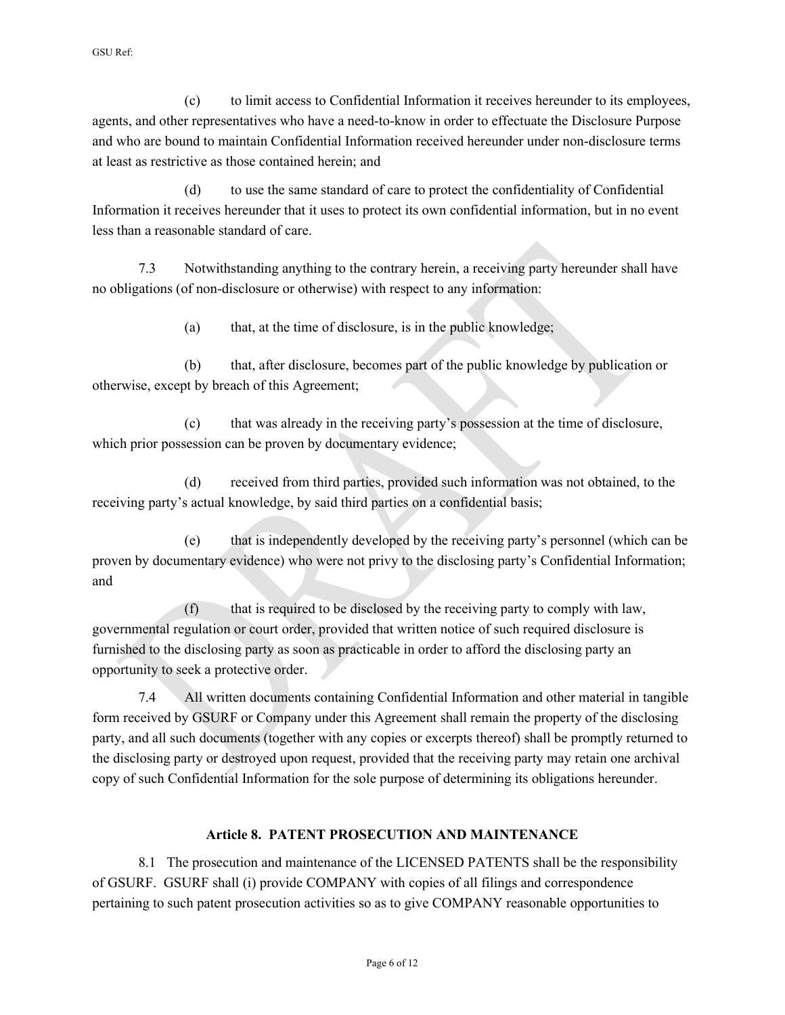(c) to limit access to Confidential Information it receives hereunder to its employees, agents, and other representatives who have a need-to-know in order to effectuate the Disclosure Purpose and who are bound to maintain Confidential Information received hereunder under non-disclosure terms at least as restrictive as those contained herein; and

(d) to use the same standard of care to protect the confidentiality of Confidential Information it receives hereunder that it uses to protect its own confidential information, but in no event less than a reasonable standard of care.

7.3 Notwithstanding anything to the contrary herein, a receiving party hereunder shall have no obligations (of non-disclosure or otherwise) with respect to any information:

(a) that, at the time of disclosure, is in the public knowledge;

(b) that, after disclosure, becomes part of the public knowledge by publication or otherwise, except by breach of this Agreement;

(c) that was already in the receiving party's possession at the time of disclosure, which prior possession can be proven by documentary evidence;

(d) received from third parties, provided such information was not obtained, to the receiving party's actual knowledge, by said third parties on a confidential basis;

(e) that is independently developed by the receiving party's personnel (which can be proven by documentary evidence) who were not privy to the disclosing party's Confidential Information; and

(f) that is required to be disclosed by the receiving party to comply with law, governmental regulation or court order, provided that written notice of such required disclosure is furnished to the disclosing party as soon as practicable in order to afford the disclosing party an opportunity to seek a protective order.

7.4 All written documents containing Confidential Information and other material in tangible form received by GSURF or Company under this Agreement shall remain the property of the disclosing party, and all such documents (together with any copies or excerpts thereof) shall be promptly returned to the disclosing party or destroyed upon request, provided that the receiving party may retain one archival copy of such Confidential Information for the sole purpose of determining its obligations hereunder.

### **Article 8. PATENT PROSECUTION AND MAINTENANCE**

8.1 The prosecution and maintenance of the LICENSED PATENTS shall be the responsibility of GSURF. GSURF shall (i) provide COMPANY with copies of all filings and correspondence pertaining to such patent prosecution activities so as to give COMPANY reasonable opportunities to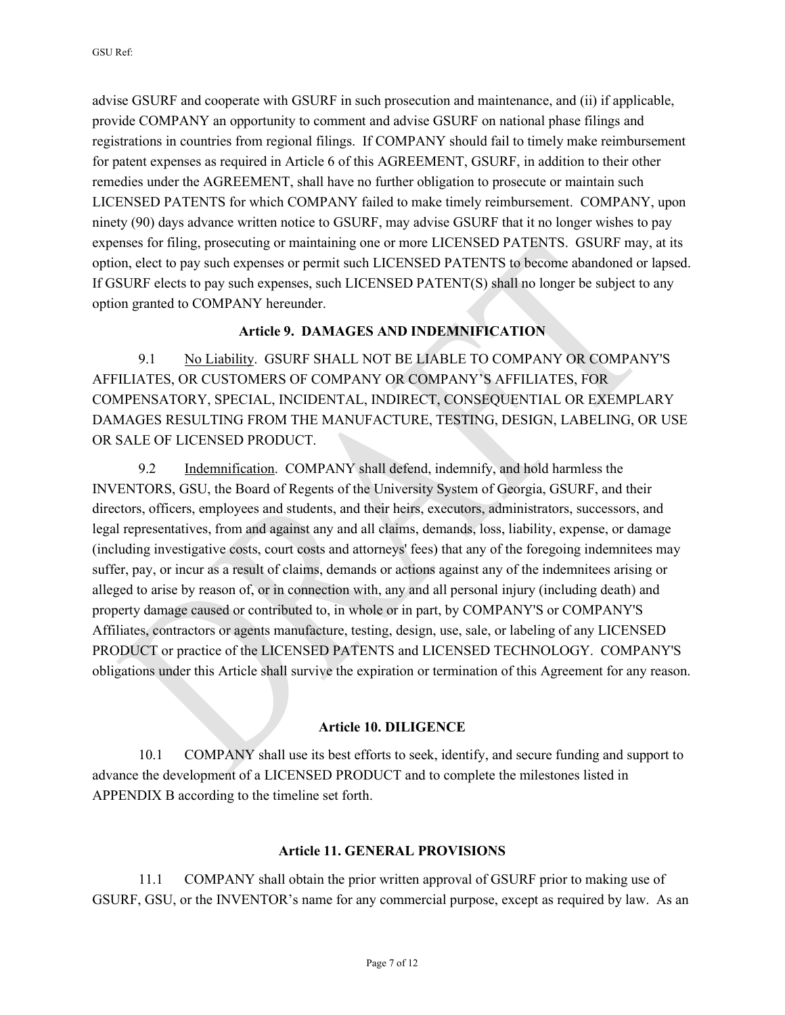advise GSURF and cooperate with GSURF in such prosecution and maintenance, and (ii) if applicable, provide COMPANY an opportunity to comment and advise GSURF on national phase filings and registrations in countries from regional filings. If COMPANY should fail to timely make reimbursement for patent expenses as required in Article 6 of this AGREEMENT, GSURF, in addition to their other remedies under the AGREEMENT, shall have no further obligation to prosecute or maintain such LICENSED PATENTS for which COMPANY failed to make timely reimbursement. COMPANY, upon ninety (90) days advance written notice to GSURF, may advise GSURF that it no longer wishes to pay expenses for filing, prosecuting or maintaining one or more LICENSED PATENTS. GSURF may, at its option, elect to pay such expenses or permit such LICENSED PATENTS to become abandoned or lapsed. If GSURF elects to pay such expenses, such LICENSED PATENT(S) shall no longer be subject to any option granted to COMPANY hereunder.

#### **Article 9. DAMAGES AND INDEMNIFICATION**

9.1 No Liability. GSURF SHALL NOT BE LIABLE TO COMPANY OR COMPANY'S AFFILIATES, OR CUSTOMERS OF COMPANY OR COMPANY'S AFFILIATES, FOR COMPENSATORY, SPECIAL, INCIDENTAL, INDIRECT, CONSEQUENTIAL OR EXEMPLARY DAMAGES RESULTING FROM THE MANUFACTURE, TESTING, DESIGN, LABELING, OR USE OR SALE OF LICENSED PRODUCT.

9.2 Indemnification. COMPANY shall defend, indemnify, and hold harmless the INVENTORS, GSU, the Board of Regents of the University System of Georgia, GSURF, and their directors, officers, employees and students, and their heirs, executors, administrators, successors, and legal representatives, from and against any and all claims, demands, loss, liability, expense, or damage (including investigative costs, court costs and attorneys' fees) that any of the foregoing indemnitees may suffer, pay, or incur as a result of claims, demands or actions against any of the indemnitees arising or alleged to arise by reason of, or in connection with, any and all personal injury (including death) and property damage caused or contributed to, in whole or in part, by COMPANY'S or COMPANY'S Affiliates, contractors or agents manufacture, testing, design, use, sale, or labeling of any LICENSED PRODUCT or practice of the LICENSED PATENTS and LICENSED TECHNOLOGY. COMPANY'S obligations under this Article shall survive the expiration or termination of this Agreement for any reason.

#### **Article 10. DILIGENCE**

10.1 COMPANY shall use its best efforts to seek, identify, and secure funding and support to advance the development of a LICENSED PRODUCT and to complete the milestones listed in APPENDIX B according to the timeline set forth.

#### **Article 11. GENERAL PROVISIONS**

11.1 COMPANY shall obtain the prior written approval of GSURF prior to making use of GSURF, GSU, or the INVENTOR's name for any commercial purpose, except as required by law. As an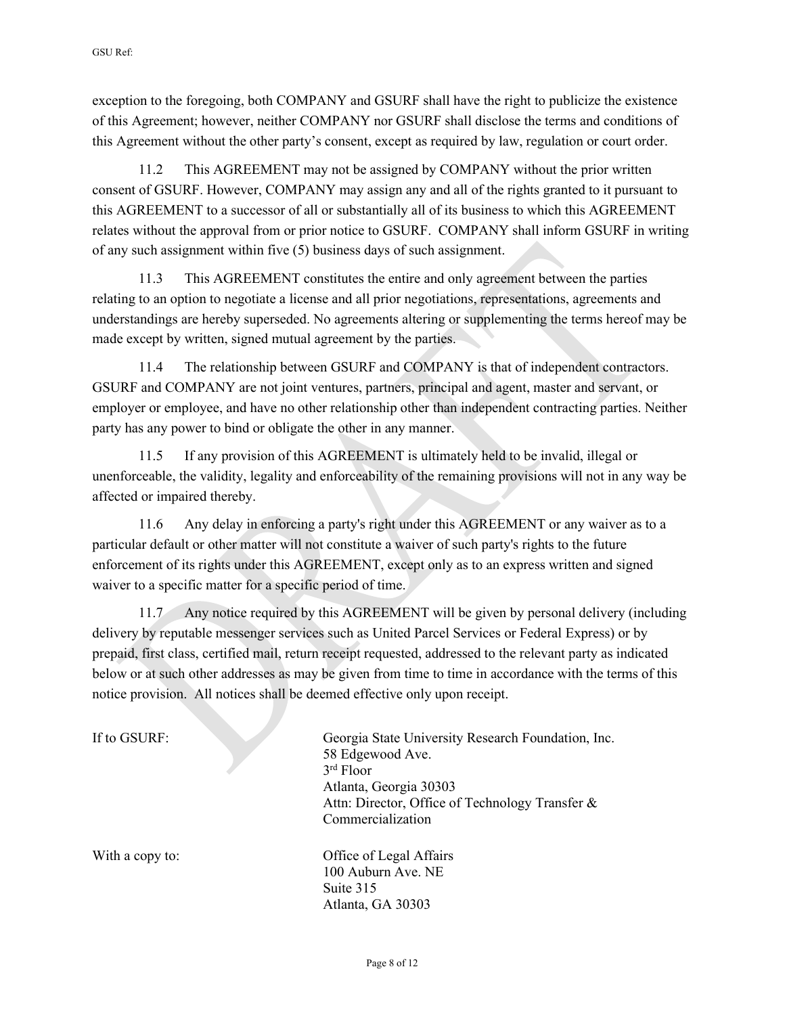exception to the foregoing, both COMPANY and GSURF shall have the right to publicize the existence of this Agreement; however, neither COMPANY nor GSURF shall disclose the terms and conditions of this Agreement without the other party's consent, except as required by law, regulation or court order.

11.2 This AGREEMENT may not be assigned by COMPANY without the prior written consent of GSURF. However, COMPANY may assign any and all of the rights granted to it pursuant to this AGREEMENT to a successor of all or substantially all of its business to which this AGREEMENT relates without the approval from or prior notice to GSURF. COMPANY shall inform GSURF in writing of any such assignment within five (5) business days of such assignment.

11.3 This AGREEMENT constitutes the entire and only agreement between the parties relating to an option to negotiate a license and all prior negotiations, representations, agreements and understandings are hereby superseded. No agreements altering or supplementing the terms hereof may be made except by written, signed mutual agreement by the parties.

11.4 The relationship between GSURF and COMPANY is that of independent contractors. GSURF and COMPANY are not joint ventures, partners, principal and agent, master and servant, or employer or employee, and have no other relationship other than independent contracting parties. Neither party has any power to bind or obligate the other in any manner.

11.5 If any provision of this AGREEMENT is ultimately held to be invalid, illegal or unenforceable, the validity, legality and enforceability of the remaining provisions will not in any way be affected or impaired thereby.

11.6 Any delay in enforcing a party's right under this AGREEMENT or any waiver as to a particular default or other matter will not constitute a waiver of such party's rights to the future enforcement of its rights under this AGREEMENT, except only as to an express written and signed waiver to a specific matter for a specific period of time.

11.7 Any notice required by this AGREEMENT will be given by personal delivery (including delivery by reputable messenger services such as United Parcel Services or Federal Express) or by prepaid, first class, certified mail, return receipt requested, addressed to the relevant party as indicated below or at such other addresses as may be given from time to time in accordance with the terms of this notice provision. All notices shall be deemed effective only upon receipt.

| If to GSURF:    | Georgia State University Research Foundation, Inc.<br>58 Edgewood Ave.<br>$3rd$ Floor<br>Atlanta, Georgia 30303<br>Attn: Director, Office of Technology Transfer &<br>Commercialization |
|-----------------|-----------------------------------------------------------------------------------------------------------------------------------------------------------------------------------------|
| With a copy to: | Office of Legal Affairs<br>100 Auburn Ave. NE<br>Suite 315<br>Atlanta, GA 30303                                                                                                         |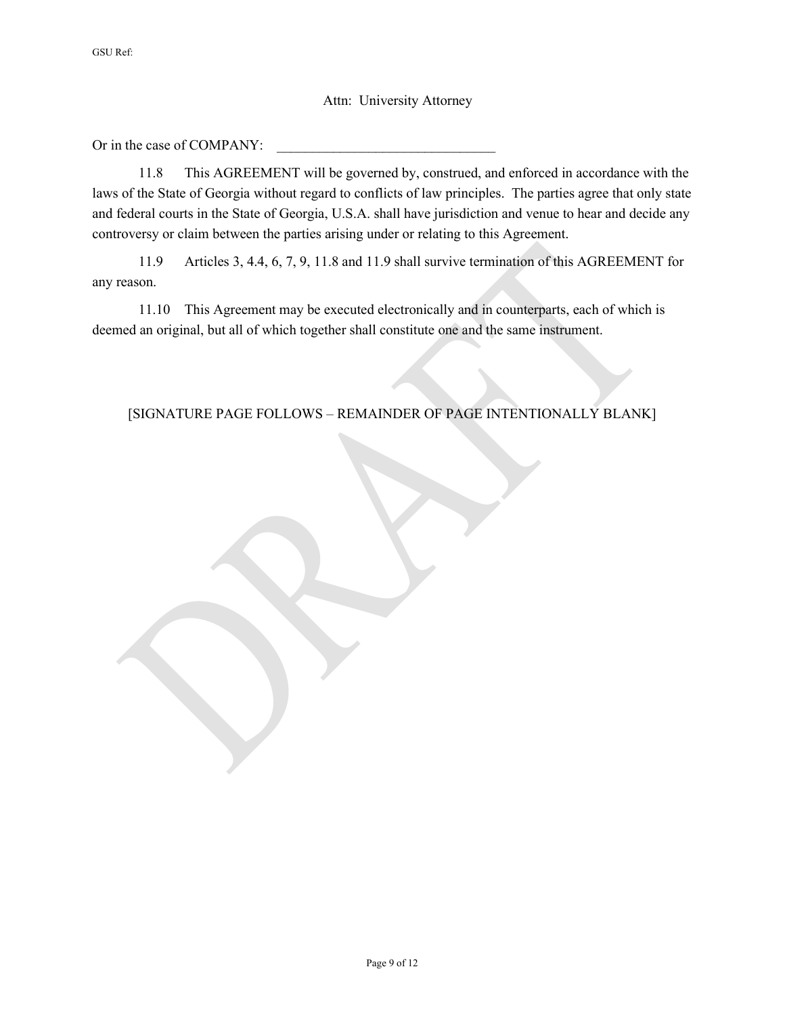#### Attn: University Attorney

Or in the case of COMPANY:

11.8 This AGREEMENT will be governed by, construed, and enforced in accordance with the laws of the State of Georgia without regard to conflicts of law principles. The parties agree that only state and federal courts in the State of Georgia, U.S.A. shall have jurisdiction and venue to hear and decide any controversy or claim between the parties arising under or relating to this Agreement.

11.9 Articles 3, 4.4, 6, 7, 9, 11.8 and 11.9 shall survive termination of this AGREEMENT for any reason.

11.10 This Agreement may be executed electronically and in counterparts, each of which is deemed an original, but all of which together shall constitute one and the same instrument.

#### [SIGNATURE PAGE FOLLOWS – REMAINDER OF PAGE INTENTIONALLY BLANK]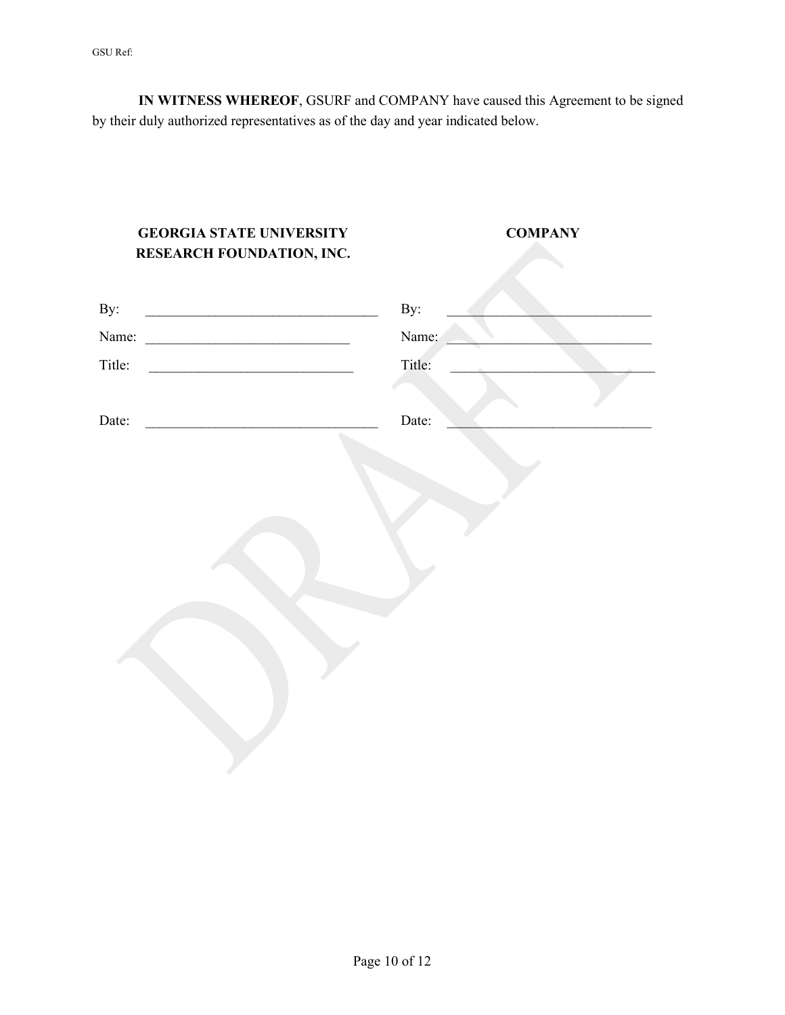GSU Ref:

**IN WITNESS WHEREOF**, GSURF and COMPANY have caused this Agreement to be signed by their duly authorized representatives as of the day and year indicated below.

| <b>GEORGIA STATE UNIVERSITY</b><br>RESEARCH FOUNDATION, INC. | <b>COMPANY</b> |
|--------------------------------------------------------------|----------------|
| By:                                                          | By:            |
| Name:                                                        | Name:          |
| Title:                                                       | Title:         |
| Date:                                                        | Date:          |
|                                                              |                |
|                                                              |                |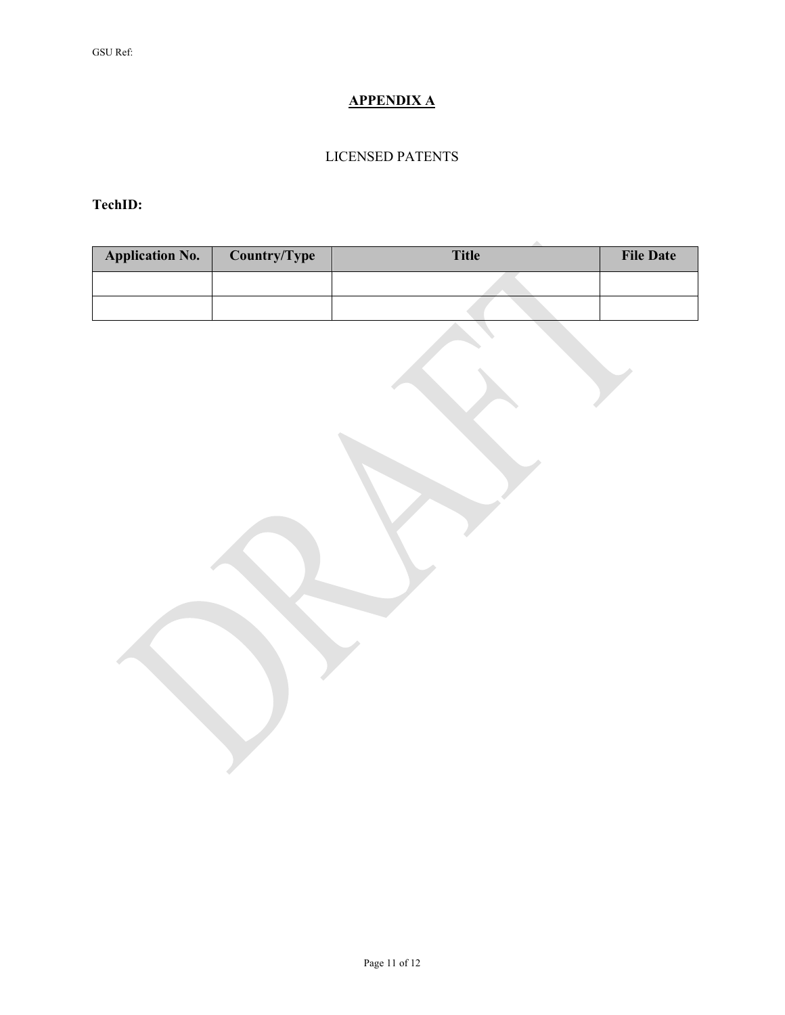# **APPENDIX A**

## LICENSED PATENTS

**TechID:** 

| <b>Application No.</b> | Country/Type | <b>Title</b> | <b>File Date</b> |
|------------------------|--------------|--------------|------------------|
|                        |              |              |                  |
|                        |              |              |                  |